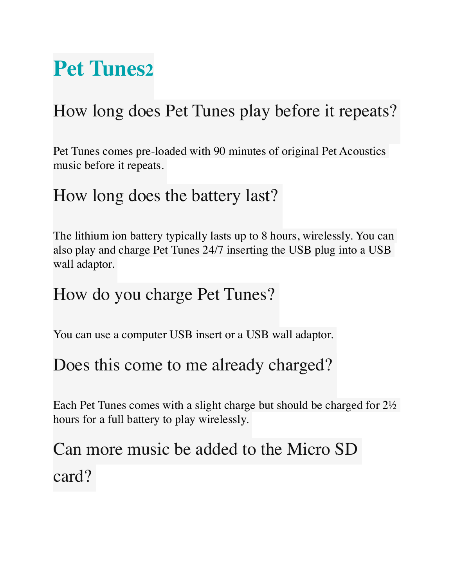# **Pet Tunes2**

## How long does Pet Tunes play before it repeats?

Pet Tunes comes pre-loaded with 90 minutes of original Pet Acoustics music before it repeats.

#### How long does the battery last?

The lithium ion battery typically lasts up to 8 hours, wirelessly. You can also play and charge Pet Tunes 24/7 inserting the USB plug into a USB wall adaptor.

#### How do you charge Pet Tunes?

You can use a computer USB insert or a USB wall adaptor.

#### Does this come to me already charged?

Each Pet Tunes comes with a slight charge but should be charged for 2½ hours for a full battery to play wirelessly.

## Can more music be added to the Micro SD card?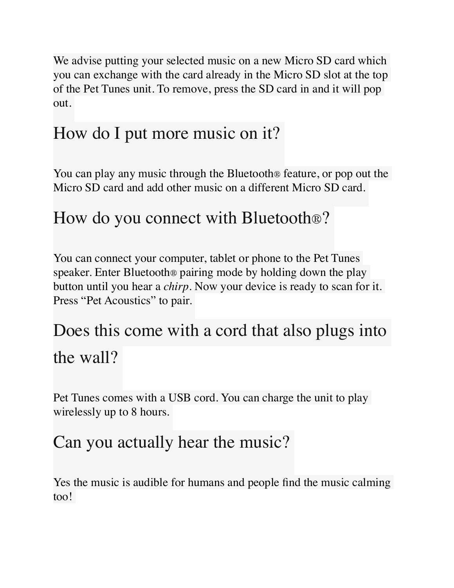We advise putting your selected music on a new Micro SD card which you can exchange with the card already in the Micro SD slot at the top of the Pet Tunes unit. To remove, press the SD card in and it will pop out.

## How do I put more music on it?

You can play any music through the Bluetooth® feature, or pop out the Micro SD card and add other music on a different Micro SD card.

## How do you connect with Bluetooth®?

You can connect your computer, tablet or phone to the Pet Tunes speaker. Enter Bluetooth® pairing mode by holding down the play button until you hear a *chirp*. Now your device is ready to scan for it. Press "Pet Acoustics" to pair.

## Does this come with a cord that also plugs into the wall?

Pet Tunes comes with a USB cord. You can charge the unit to play wirelessly up to 8 hours.

### Can you actually hear the music?

Yes the music is audible for humans and people find the music calming too!